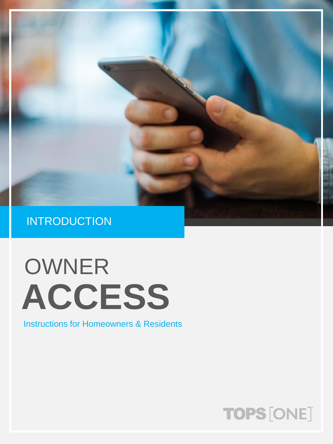

# OWNER **ACCESS**

Instructions for Homeowners & Residents

### TOPS [ONE]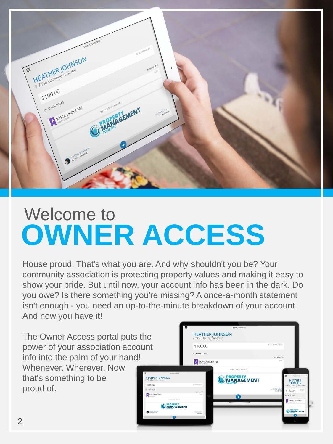

### Welcome to **OWNER ACCESS**

House proud. That's what you are. And why shouldn't you be? Your community association is protecting property values and making it easy to show your pride. But until now, your account info has been in the dark. Do you owe? Is there something you're missing? A once-a-month statement isn't enough - you need an up-to-the-minute breakdown of your account. And now you have it!

The Owner Access portal puts the power of your association account info into the palm of your hand! Whenever. Wherever. Now that's something to be proud of.

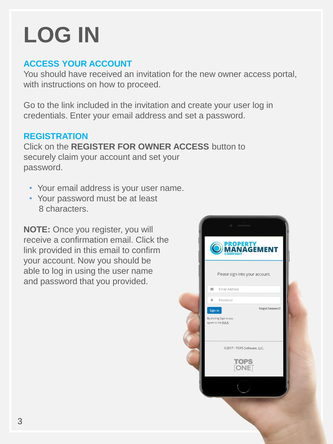# **LOG IN**

### **ACCESS YOUR ACCOUNT**

You should have received an invitation for the new owner access portal, with instructions on how to proceed.

Go to the link included in the invitation and create your user log in credentials. Enter your email address and set a password.

#### **REGISTRATION**

Click on the **REGISTER FOR OWNER ACCESS** button to securely claim your account and set your password.

- Your email address is your user name.
- Your password must be at least 8 characters.

**NOTE:** Once you register, you will receive a confirmation email. Click the link provided in this email to confirm your account. Now you should be able to log in using the user name and password that you provided.

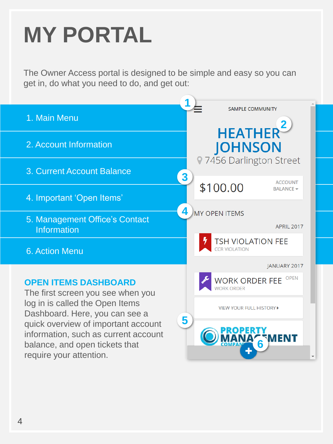## **MY PORTAL**

The Owner Access portal is designed to be simple and easy so you can get in, do what you need to do, and get out:

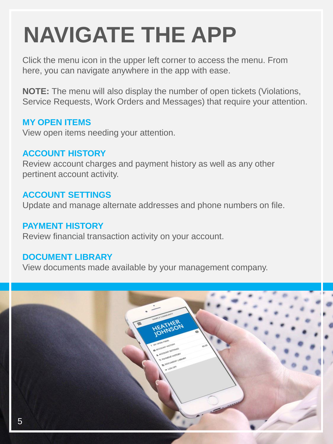## **NAVIGATE THE APP**

Click the menu icon in the upper left corner to access the menu. From here, you can navigate anywhere in the app with ease.

**NOTE:** The menu will also display the number of open tickets (Violations, Service Requests, Work Orders and Messages) that require your attention.

#### **MY OPEN ITEMS**

View open items needing your attention.

#### **ACCOUNT HISTORY**

Review account charges and payment history as well as any other pertinent account activity.

#### **ACCOUNT SETTINGS**

Update and manage alternate addresses and phone numbers on file.

#### **PAYMENT HISTORY**

Review financial transaction activity on your account.

### **DOCUMENT LIBRARY**

View documents made available by your management company.

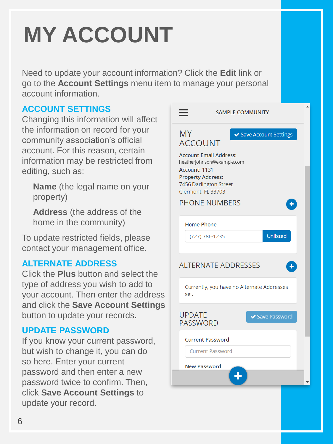# **MY ACCOUNT**

Need to update your account information? Click the **Edit** link or go to the **Account Settings** menu item to manage your personal account information.

### **ACCOUNT SETTINGS**

Changing this information will affect the information on record for your community association's official account. For this reason, certain information may be restricted from editing, such as:

**Name** (the legal name on your property)

**Address** (the address of the home in the community)

To update restricted fields, please contact your management office.

#### **ALTERNATE ADDRESS**

Click the **Plus** button and select the type of address you wish to add to your account. Then enter the address and click the **Save Account Settings** button to update your records.

#### **UPDATE PASSWORD**

If you know your current password, but wish to change it, you can do so here. Enter your current password and then enter a new password twice to confirm. Then, click **Save Account Settings** to update your record.

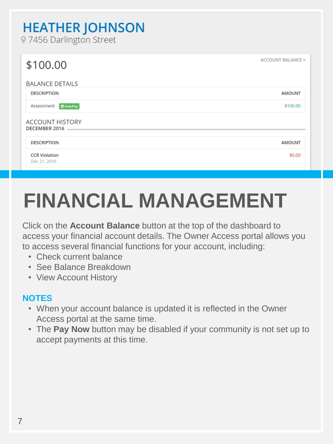### **HEATHER JOHNSON**

97456 Darlington Street

| \$100.00                                | ACCOUNT BALANCE - |
|-----------------------------------------|-------------------|
| <b>BALANCE DETAILS</b>                  |                   |
| <b>DESCRIPTION</b>                      | <b>AMOUNT</b>     |
| Assessment<br><b>曲 AutoPay</b>          | \$100.00          |
| <b>ACCOUNT HISTORY</b><br>DECEMBER 2016 |                   |
| <b>DESCRIPTION</b>                      | <b>AMOUNT</b>     |
| <b>CCR Violation</b><br>Dec 21, 2016    | \$0.00            |
|                                         |                   |

### **FINANCIAL MANAGEMENT**

Click on the **Account Balance** button at the top of the dashboard to access your financial account details. The Owner Access portal allows you to access several financial functions for your account, including:

- Check current balance
- See Balance Breakdown
- View Account History

### **NOTES**

- When your account balance is updated it is reflected in the Owner Access portal at the same time.
- The **Pay Now** button may be disabled if your community is not set up to accept payments at this time.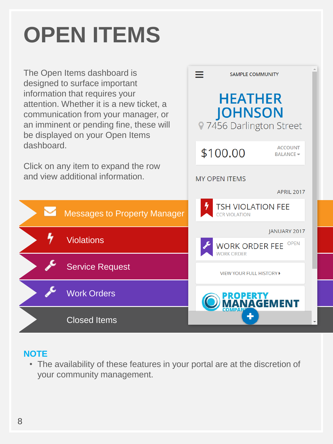# **OPEN ITEMS**

The Open Items dashboard is designed to surface important information that requires your attention. Whether it is a new ticket, a communication from your manager, or an imminent or pending fine, these will be displayed on your Open Items dashboard.

Click on any item to expand the row and view additional information.

**Violations** 

Service Request

Work Orders

Closed Items



### **NOTE**

• The availability of these features in your portal are at the discretion of your community management.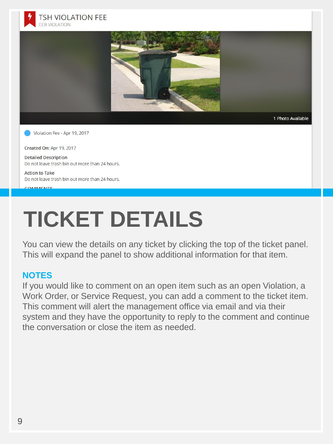



Created On: Apr 19, 2017

**Detailed Description** Do not leave trash bin out more than 24 hours.

**Action to Take** Do not leave trash bin out more than 24 hours.

#### COMMENTS

### **TICKET DETAILS**

You can view the details on any ticket by clicking the top of the ticket panel. This will expand the panel to show additional information for that item.

#### **NOTES**

If you would like to comment on an open item such as an open Violation, a Work Order, or Service Request, you can add a comment to the ticket item. This comment will alert the management office via email and via their system and they have the opportunity to reply to the comment and continue the conversation or close the item as needed.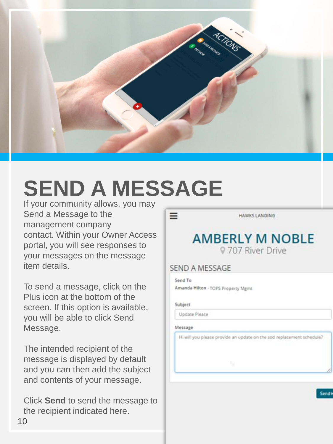

### **SEND A MESSAGE**

If your community allows, you may Send a Message to the management company contact. Within your Owner Access portal, you will see responses to your messages on the message item details.

To send a message, click on the Plus icon at the bottom of the screen. If this option is available, you will be able to click Send Message.

The intended recipient of the message is displayed by default and you can then add the subject and contents of your message.

Click **Send** to send the message to the recipient indicated here.

**HAWKS LANDING** 

### **AMBERLY M NOBLE** 9 707 River Drive

#### SEND A MESSAGE

Send To Amanda Hilton - TOPS Property Mgmt

#### Subject

 $=$ 

Update Please

#### Message

Hi will you please provide an update on the sod replacement schedule?

Send<sup>1</sup>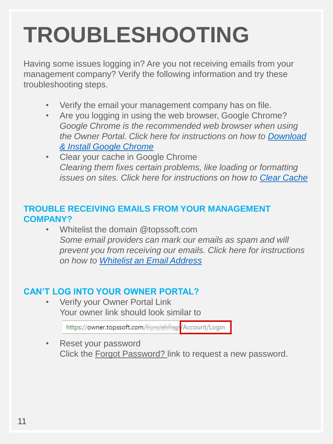## **TROUBLESHOOTING**

Having some issues logging in? Are you not receiving emails from your management company? Verify the following information and try these troubleshooting steps.

- Verify the email your management company has on file.
- Are you logging in using the web browser, Google Chrome? *Google Chrome is the recommended web browser when using [the Owner Portal. Click here for instructions on how to Download](https://support.google.com/chrome/answer/95346?co=GENIE.Platform%3DDesktop&hl=en)  & Install Google Chrome*
- Clear your cache in Google Chrome *Clearing them fixes certain problems, like loading or formatting issues on sites. Click here for instructions on how to [Clear Cache](https://support.google.com/accounts/answer/32050?co=GENIE.Platform%3DDesktop&hl=en)*

#### **TROUBLE RECEIVING EMAILS FROM YOUR MANAGEMENT COMPANY?**

• Whitelist the domain @topssoft.com *Some email providers can mark our emails as spam and will prevent you from receiving our emails. Click here for instructions on how to [Whitelist an Email Address](https://knowledgebase.constantcontact.com/articles/KnowledgeBase/5873-adding-email-addresses-to-a-safe-sender-list?lang=en_US)*

### **CAN'T LOG INTO YOUR OWNER PORTAL?**

• Verify your Owner Portal Link Your owner link should look similar to

> Account/Login https://owner.topssoft.com/

• Reset your password Click the Forgot Password? link to request a new password.